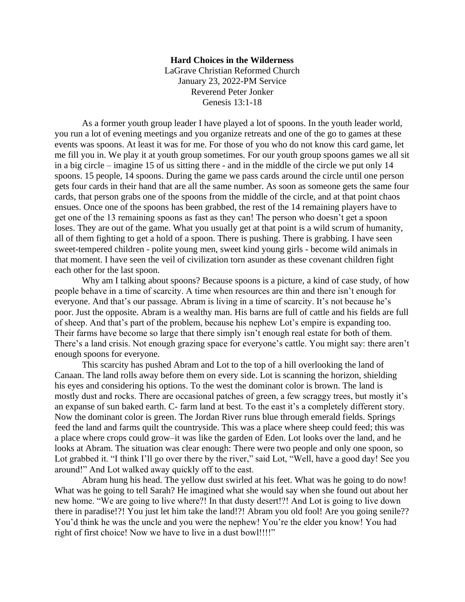## **Hard Choices in the Wilderness**

LaGrave Christian Reformed Church January 23, 2022-PM Service Reverend Peter Jonker Genesis 13:1-18

As a former youth group leader I have played a lot of spoons. In the youth leader world, you run a lot of evening meetings and you organize retreats and one of the go to games at these events was spoons. At least it was for me. For those of you who do not know this card game, let me fill you in. We play it at youth group sometimes. For our youth group spoons games we all sit in a big circle – imagine 15 of us sitting there - and in the middle of the circle we put only 14 spoons. 15 people, 14 spoons. During the game we pass cards around the circle until one person gets four cards in their hand that are all the same number. As soon as someone gets the same four cards, that person grabs one of the spoons from the middle of the circle, and at that point chaos ensues. Once one of the spoons has been grabbed, the rest of the 14 remaining players have to get one of the 13 remaining spoons as fast as they can! The person who doesn't get a spoon loses. They are out of the game. What you usually get at that point is a wild scrum of humanity, all of them fighting to get a hold of a spoon. There is pushing. There is grabbing. I have seen sweet-tempered children - polite young men, sweet kind young girls - become wild animals in that moment. I have seen the veil of civilization torn asunder as these covenant children fight each other for the last spoon.

Why am I talking about spoons? Because spoons is a picture, a kind of case study, of how people behave in a time of scarcity. A time when resources are thin and there isn't enough for everyone. And that's our passage. Abram is living in a time of scarcity. It's not because he's poor. Just the opposite. Abram is a wealthy man. His barns are full of cattle and his fields are full of sheep. And that's part of the problem, because his nephew Lot's empire is expanding too. Their farms have become so large that there simply isn't enough real estate for both of them. There's a land crisis. Not enough grazing space for everyone's cattle. You might say: there aren't enough spoons for everyone.

This scarcity has pushed Abram and Lot to the top of a hill overlooking the land of Canaan. The land rolls away before them on every side. Lot is scanning the horizon, shielding his eyes and considering his options. To the west the dominant color is brown. The land is mostly dust and rocks. There are occasional patches of green, a few scraggy trees, but mostly it's an expanse of sun baked earth. C- farm land at best. To the east it's a completely different story. Now the dominant color is green. The Jordan River runs blue through emerald fields. Springs feed the land and farms quilt the countryside. This was a place where sheep could feed; this was a place where crops could grow–it was like the garden of Eden. Lot looks over the land, and he looks at Abram. The situation was clear enough: There were two people and only one spoon, so Lot grabbed it. "I think I'll go over there by the river," said Lot, "Well, have a good day! See you around!" And Lot walked away quickly off to the east.

Abram hung his head. The yellow dust swirled at his feet. What was he going to do now! What was he going to tell Sarah? He imagined what she would say when she found out about her new home. "We are going to live where?! In that dusty desert!?! And Lot is going to live down there in paradise!?! You just let him take the land!?! Abram you old fool! Are you going senile?? You'd think he was the uncle and you were the nephew! You're the elder you know! You had right of first choice! Now we have to live in a dust bowl!!!!"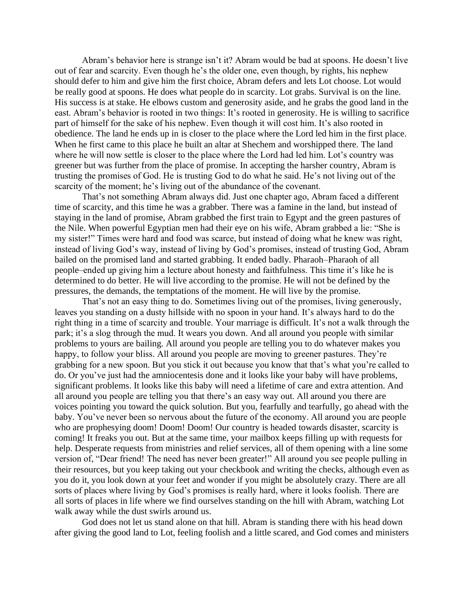Abram's behavior here is strange isn't it? Abram would be bad at spoons. He doesn't live out of fear and scarcity. Even though he's the older one, even though, by rights, his nephew should defer to him and give him the first choice, Abram defers and lets Lot choose. Lot would be really good at spoons. He does what people do in scarcity. Lot grabs. Survival is on the line. His success is at stake. He elbows custom and generosity aside, and he grabs the good land in the east. Abram's behavior is rooted in two things: It's rooted in generosity. He is willing to sacrifice part of himself for the sake of his nephew. Even though it will cost him. It's also rooted in obedience. The land he ends up in is closer to the place where the Lord led him in the first place. When he first came to this place he built an altar at Shechem and worshipped there. The land where he will now settle is closer to the place where the Lord had led him. Lot's country was greener but was further from the place of promise. In accepting the harsher country, Abram is trusting the promises of God. He is trusting God to do what he said. He's not living out of the scarcity of the moment; he's living out of the abundance of the covenant.

That's not something Abram always did. Just one chapter ago, Abram faced a different time of scarcity, and this time he was a grabber. There was a famine in the land, but instead of staying in the land of promise, Abram grabbed the first train to Egypt and the green pastures of the Nile. When powerful Egyptian men had their eye on his wife, Abram grabbed a lie: "She is my sister!" Times were hard and food was scarce, but instead of doing what he knew was right, instead of living God's way, instead of living by God's promises, instead of trusting God, Abram bailed on the promised land and started grabbing. It ended badly. Pharaoh–Pharaoh of all people–ended up giving him a lecture about honesty and faithfulness. This time it's like he is determined to do better. He will live according to the promise. He will not be defined by the pressures, the demands, the temptations of the moment. He will live by the promise.

That's not an easy thing to do. Sometimes living out of the promises, living generously, leaves you standing on a dusty hillside with no spoon in your hand. It's always hard to do the right thing in a time of scarcity and trouble. Your marriage is difficult. It's not a walk through the park; it's a slog through the mud. It wears you down. And all around you people with similar problems to yours are bailing. All around you people are telling you to do whatever makes you happy, to follow your bliss. All around you people are moving to greener pastures. They're grabbing for a new spoon. But you stick it out because you know that that's what you're called to do. Or you've just had the amniocentesis done and it looks like your baby will have problems, significant problems. It looks like this baby will need a lifetime of care and extra attention. And all around you people are telling you that there's an easy way out. All around you there are voices pointing you toward the quick solution. But you, fearfully and tearfully, go ahead with the baby. You've never been so nervous about the future of the economy. All around you are people who are prophesying doom! Doom! Doom! Our country is headed towards disaster, scarcity is coming! It freaks you out. But at the same time, your mailbox keeps filling up with requests for help. Desperate requests from ministries and relief services, all of them opening with a line some version of, "Dear friend! The need has never been greater!" All around you see people pulling in their resources, but you keep taking out your checkbook and writing the checks, although even as you do it, you look down at your feet and wonder if you might be absolutely crazy. There are all sorts of places where living by God's promises is really hard, where it looks foolish. There are all sorts of places in life where we find ourselves standing on the hill with Abram, watching Lot walk away while the dust swirls around us.

God does not let us stand alone on that hill. Abram is standing there with his head down after giving the good land to Lot, feeling foolish and a little scared, and God comes and ministers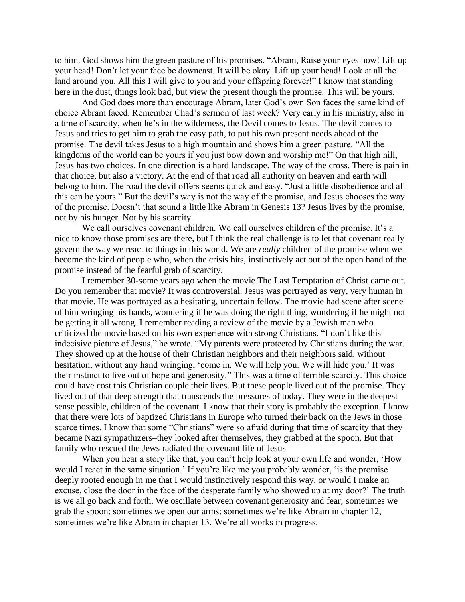to him. God shows him the green pasture of his promises. "Abram, Raise your eyes now! Lift up your head! Don't let your face be downcast. It will be okay. Lift up your head! Look at all the land around you. All this I will give to you and your offspring forever!" I know that standing here in the dust, things look bad, but view the present though the promise. This will be yours.

And God does more than encourage Abram, later God's own Son faces the same kind of choice Abram faced. Remember Chad's sermon of last week? Very early in his ministry, also in a time of scarcity, when he's in the wilderness, the Devil comes to Jesus. The devil comes to Jesus and tries to get him to grab the easy path, to put his own present needs ahead of the promise. The devil takes Jesus to a high mountain and shows him a green pasture. "All the kingdoms of the world can be yours if you just bow down and worship me!" On that high hill, Jesus has two choices. In one direction is a hard landscape. The way of the cross. There is pain in that choice, but also a victory. At the end of that road all authority on heaven and earth will belong to him. The road the devil offers seems quick and easy. "Just a little disobedience and all this can be yours." But the devil's way is not the way of the promise, and Jesus chooses the way of the promise. Doesn't that sound a little like Abram in Genesis 13? Jesus lives by the promise, not by his hunger. Not by his scarcity.

We call ourselves covenant children. We call ourselves children of the promise. It's a nice to know those promises are there, but I think the real challenge is to let that covenant really govern the way we react to things in this world. We are *really* children of the promise when we become the kind of people who, when the crisis hits, instinctively act out of the open hand of the promise instead of the fearful grab of scarcity.

I remember 30-some years ago when the movie The Last Temptation of Christ came out. Do you remember that movie? It was controversial. Jesus was portrayed as very, very human in that movie. He was portrayed as a hesitating, uncertain fellow. The movie had scene after scene of him wringing his hands, wondering if he was doing the right thing, wondering if he might not be getting it all wrong. I remember reading a review of the movie by a Jewish man who criticized the movie based on his own experience with strong Christians. "I don't like this indecisive picture of Jesus," he wrote. "My parents were protected by Christians during the war. They showed up at the house of their Christian neighbors and their neighbors said, without hesitation, without any hand wringing, 'come in. We will help you. We will hide you.' It was their instinct to live out of hope and generosity." This was a time of terrible scarcity. This choice could have cost this Christian couple their lives. But these people lived out of the promise. They lived out of that deep strength that transcends the pressures of today. They were in the deepest sense possible, children of the covenant. I know that their story is probably the exception. I know that there were lots of baptized Christians in Europe who turned their back on the Jews in those scarce times. I know that some "Christians" were so afraid during that time of scarcity that they became Nazi sympathizers–they looked after themselves, they grabbed at the spoon. But that family who rescued the Jews radiated the covenant life of Jesus

When you hear a story like that, you can't help look at your own life and wonder, 'How would I react in the same situation.' If you're like me you probably wonder, 'is the promise deeply rooted enough in me that I would instinctively respond this way, or would I make an excuse, close the door in the face of the desperate family who showed up at my door?' The truth is we all go back and forth. We oscillate between covenant generosity and fear; sometimes we grab the spoon; sometimes we open our arms; sometimes we're like Abram in chapter 12, sometimes we're like Abram in chapter 13. We're all works in progress.